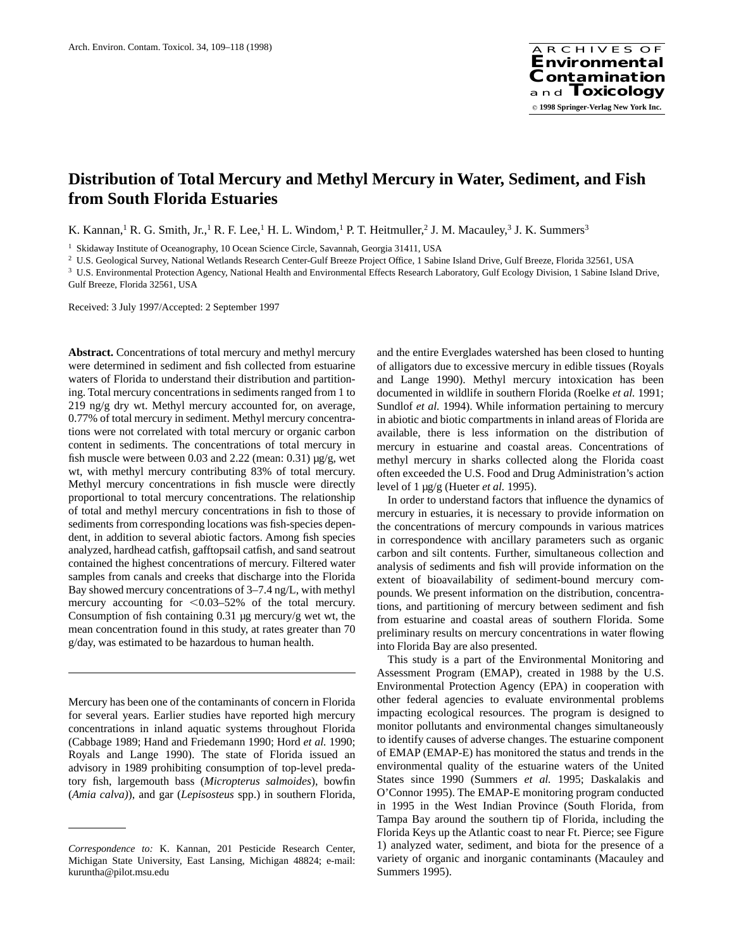# **Distribution of Total Mercury and Methyl Mercury in Water, Sediment, and Fish from South Florida Estuaries**

K. Kannan,<sup>1</sup> R. G. Smith, Jr.,<sup>1</sup> R. F. Lee,<sup>1</sup> H. L. Windom,<sup>1</sup> P. T. Heitmuller,<sup>2</sup> J. M. Macauley,<sup>3</sup> J. K. Summers<sup>3</sup>

<sup>1</sup> Skidaway Institute of Oceanography, 10 Ocean Science Circle, Savannah, Georgia 31411, USA

<sup>2</sup> U.S. Geological Survey, National Wetlands Research Center-Gulf Breeze Project Office, 1 Sabine Island Drive, Gulf Breeze, Florida 32561, USA

<sup>3</sup> U.S. Environmental Protection Agency, National Health and Environmental Effects Research Laboratory, Gulf Ecology Division, 1 Sabine Island Drive, Gulf Breeze, Florida 32561, USA

Received: 3 July 1997/Accepted: 2 September 1997

**Abstract.** Concentrations of total mercury and methyl mercury were determined in sediment and fish collected from estuarine waters of Florida to understand their distribution and partitioning. Total mercury concentrations in sediments ranged from 1 to  $219$  ng/g dry wt. Methyl mercury accounted for, on average, 0.77% of total mercury in sediment. Methyl mercury concentrations were not correlated with total mercury or organic carbon content in sediments. The concentrations of total mercury in fish muscle were between 0.03 and 2.22 (mean:  $0.31$ )  $\mu$ g/g, wet wt, with methyl mercury contributing 83% of total mercury. Methyl mercury concentrations in fish muscle were directly proportional to total mercury concentrations. The relationship of total and methyl mercury concentrations in fish to those of sediments from corresponding locations was fish-species dependent, in addition to several abiotic factors. Among fish species analyzed, hardhead catfish, gafftopsail catfish, and sand seatrout contained the highest concentrations of mercury. Filtered water samples from canals and creeks that discharge into the Florida Bay showed mercury concentrations of 3–7.4 ng/L, with methyl mercury accounting for  $\leq 0.03-52\%$  of the total mercury. Consumption of fish containing  $0.31 \mu$ g mercury/g wet wt, the mean concentration found in this study, at rates greater than 70 g/day, was estimated to be hazardous to human health.

Mercury has been one of the contaminants of concern in Florida for several years. Earlier studies have reported high mercury concentrations in inland aquatic systems throughout Florida (Cabbage 1989; Hand and Friedemann 1990; Hord *et al.* 1990; Royals and Lange 1990). The state of Florida issued an advisory in 1989 prohibiting consumption of top-level predatory fish, largemouth bass (*Micropterus salmoides*), bowfin (*Amia calva)*), and gar (*Lepisosteus* spp.) in southern Florida, and the entire Everglades watershed has been closed to hunting of alligators due to excessive mercury in edible tissues (Royals and Lange 1990). Methyl mercury intoxication has been documented in wildlife in southern Florida (Roelke *et al.* 1991; Sundlof *et al.* 1994). While information pertaining to mercury in abiotic and biotic compartments in inland areas of Florida are available, there is less information on the distribution of mercury in estuarine and coastal areas. Concentrations of methyl mercury in sharks collected along the Florida coast often exceeded the U.S. Food and Drug Administration's action level of 1 µg/g (Hueter *et al.* 1995).

In order to understand factors that influence the dynamics of mercury in estuaries, it is necessary to provide information on the concentrations of mercury compounds in various matrices in correspondence with ancillary parameters such as organic carbon and silt contents. Further, simultaneous collection and analysis of sediments and fish will provide information on the extent of bioavailability of sediment-bound mercury compounds. We present information on the distribution, concentrations, and partitioning of mercury between sediment and fish from estuarine and coastal areas of southern Florida. Some preliminary results on mercury concentrations in water flowing into Florida Bay are also presented.

This study is a part of the Environmental Monitoring and Assessment Program (EMAP), created in 1988 by the U.S. Environmental Protection Agency (EPA) in cooperation with other federal agencies to evaluate environmental problems impacting ecological resources. The program is designed to monitor pollutants and environmental changes simultaneously to identify causes of adverse changes. The estuarine component of EMAP (EMAP-E) has monitored the status and trends in the environmental quality of the estuarine waters of the United States since 1990 (Summers *et al.* 1995; Daskalakis and O'Connor 1995). The EMAP-E monitoring program conducted in 1995 in the West Indian Province (South Florida, from Tampa Bay around the southern tip of Florida, including the Florida Keys up the Atlantic coast to near Ft. Pierce; see Figure 1) analyzed water, sediment, and biota for the presence of a variety of organic and inorganic contaminants (Macauley and Summers 1995).

*Correspondence to:* K. Kannan, 201 Pesticide Research Center, Michigan State University, East Lansing, Michigan 48824; e-mail: kuruntha@pilot.msu.edu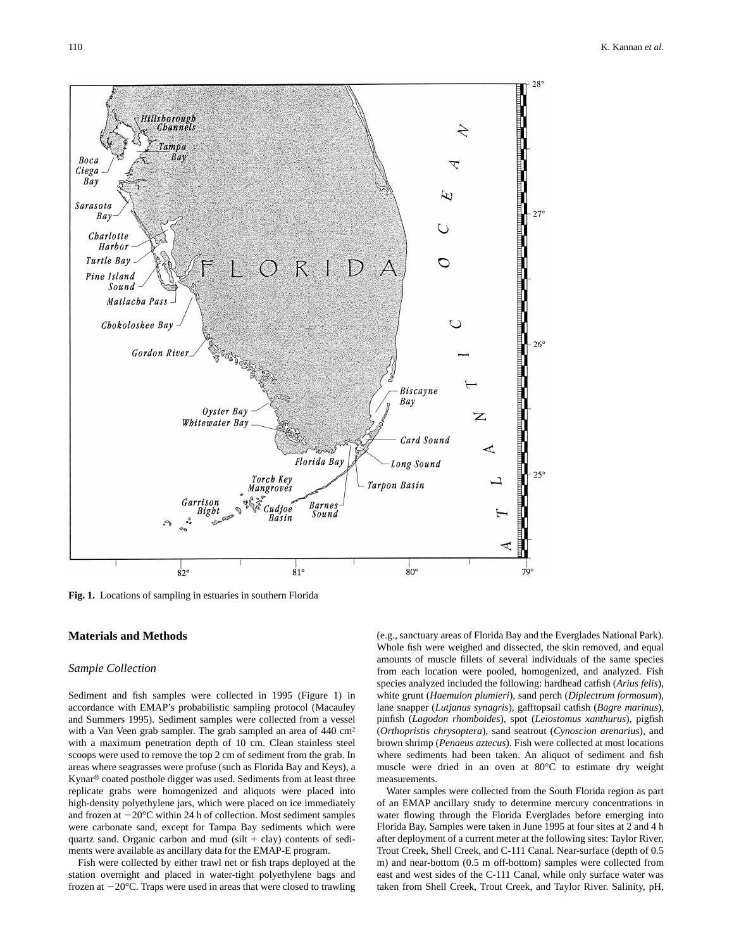

**Fig. 1.** Locations of sampling in estuaries in southern Florida

# **Materials and Methods**

#### *Sample Collection*

Sediment and fish samples were collected in 1995 (Figure 1) in accordance with EMAP's probabilistic sampling protocol (Macauley and Summers 1995). Sediment samples were collected from a vessel with a Van Veen grab sampler. The grab sampled an area of 440 cm<sup>2</sup> with a maximum penetration depth of 10 cm. Clean stainless steel scoops were used to remove the top 2 cm of sediment from the grab. In areas where seagrasses were profuse (such as Florida Bay and Keys), a Kynar® coated posthole digger was used. Sediments from at least three replicate grabs were homogenized and aliquots were placed into high-density polyethylene jars, which were placed on ice immediately and frozen at  $-20^{\circ}$ C within 24 h of collection. Most sediment samples were carbonate sand, except for Tampa Bay sediments which were quartz sand. Organic carbon and mud (silt  $+$  clay) contents of sediments were available as ancillary data for the EMAP-E program.

Fish were collected by either trawl net or fish traps deployed at the station overnight and placed in water-tight polyethylene bags and frozen at  $-20^{\circ}$ C. Traps were used in areas that were closed to trawling (e.g., sanctuary areas of Florida Bay and the Everglades National Park). Whole fish were weighed and dissected, the skin removed, and equal amounts of muscle fillets of several individuals of the same species from each location were pooled, homogenized, and analyzed. Fish species analyzed included the following: hardhead catfish (*Arius felis*), white grunt (*Haemulon plumieri*), sand perch (*Diplectrum formosum*), lane snapper (*Lutjanus synagris*), gafftopsail catfish (*Bagre marinus*), pinfish (*Lagodon rhomboides*), spot (*Leiostomus xanthurus*), pigfish (*Orthopristis chrysoptera*), sand seatrout (*Cynoscion arenarius*), and brown shrimp (*Penaeus aztecus*). Fish were collected at most locations where sediments had been taken. An aliquot of sediment and fish muscle were dried in an oven at 80°C to estimate dry weight measurements.

Water samples were collected from the South Florida region as part of an EMAP ancillary study to determine mercury concentrations in water flowing through the Florida Everglades before emerging into Florida Bay. Samples were taken in June 1995 at four sites at 2 and 4 h after deployment of a current meter at the following sites: Taylor River, Trout Creek, Shell Creek, and C-111 Canal. Near-surface (depth of 0.5 m) and near-bottom (0.5 m off-bottom) samples were collected from east and west sides of the C-111 Canal, while only surface water was taken from Shell Creek, Trout Creek, and Taylor River. Salinity, pH,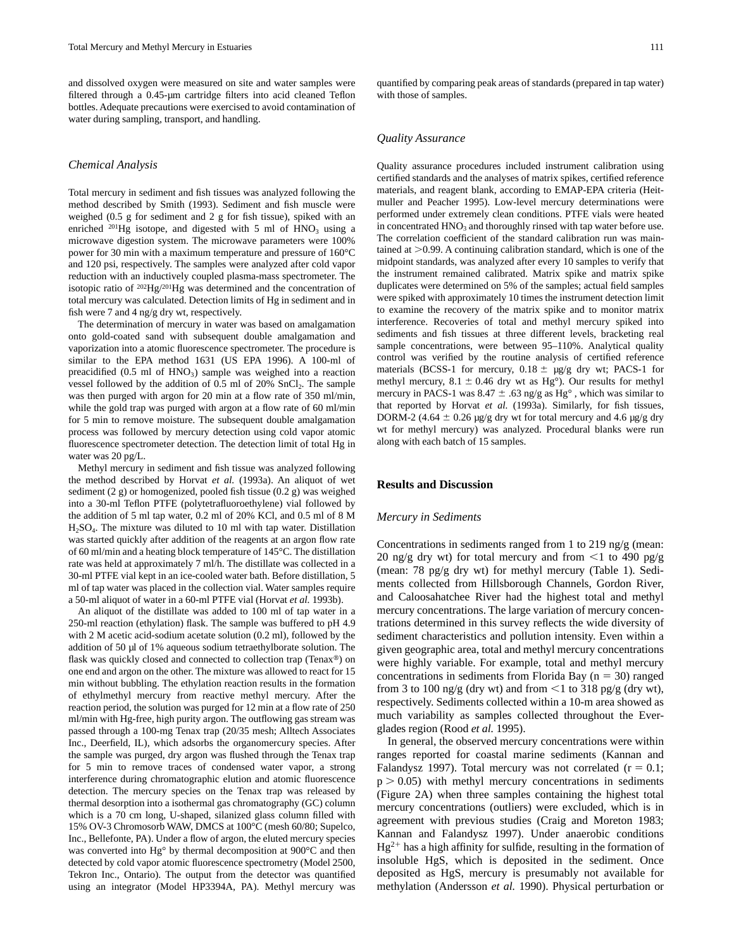and dissolved oxygen were measured on site and water samples were filtered through a 0.45-µm cartridge filters into acid cleaned Teflon bottles. Adequate precautions were exercised to avoid contamination of water during sampling, transport, and handling.

#### *Chemical Analysis*

Total mercury in sediment and fish tissues was analyzed following the method described by Smith (1993). Sediment and fish muscle were weighed (0.5 g for sediment and 2 g for fish tissue), spiked with an enriched  $^{201}$ Hg isotope, and digested with 5 ml of HNO<sub>3</sub> using a microwave digestion system. The microwave parameters were 100% power for 30 min with a maximum temperature and pressure of 160°C and 120 psi, respectively. The samples were analyzed after cold vapor reduction with an inductively coupled plasma-mass spectrometer. The isotopic ratio of  $^{202}$ Hg/ $^{201}$ Hg was determined and the concentration of total mercury was calculated. Detection limits of Hg in sediment and in fish were 7 and 4 ng/g dry wt, respectively.

The determination of mercury in water was based on amalgamation onto gold-coated sand with subsequent double amalgamation and vaporization into a atomic fluorescence spectrometer. The procedure is similar to the EPA method 1631 (US EPA 1996). A 100-ml of preacidified  $(0.5 \text{ ml of HNO}_3)$  sample was weighed into a reaction vessel followed by the addition of 0.5 ml of 20% SnCl<sub>2</sub>. The sample was then purged with argon for 20 min at a flow rate of 350 ml/min, while the gold trap was purged with argon at a flow rate of 60 ml/min for 5 min to remove moisture. The subsequent double amalgamation process was followed by mercury detection using cold vapor atomic fluorescence spectrometer detection. The detection limit of total Hg in water was 20 pg/L.

Methyl mercury in sediment and fish tissue was analyzed following the method described by Horvat *et al.* (1993a). An aliquot of wet sediment (2 g) or homogenized, pooled fish tissue (0.2 g) was weighed into a 30-ml Teflon PTFE (polytetrafluoroethylene) vial followed by the addition of 5 ml tap water, 0.2 ml of 20% KCl, and 0.5 ml of 8 M  $H<sub>2</sub>SO<sub>4</sub>$ . The mixture was diluted to 10 ml with tap water. Distillation was started quickly after addition of the reagents at an argon flow rate of 60 ml/min and a heating block temperature of 145°C. The distillation rate was held at approximately 7 ml/h. The distillate was collected in a 30-ml PTFE vial kept in an ice-cooled water bath. Before distillation, 5 ml of tap water was placed in the collection vial. Water samples require a 50-ml aliquot of water in a 60-ml PTFE vial (Horvat *et al.* 1993b).

An aliquot of the distillate was added to 100 ml of tap water in a 250-ml reaction (ethylation) flask. The sample was buffered to pH 4.9 with 2 M acetic acid-sodium acetate solution (0.2 ml), followed by the addition of 50 µl of 1% aqueous sodium tetraethylborate solution. The flask was quickly closed and connected to collection trap (Tenax®) on one end and argon on the other. The mixture was allowed to react for 15 min without bubbling. The ethylation reaction results in the formation of ethylmethyl mercury from reactive methyl mercury. After the reaction period, the solution was purged for 12 min at a flow rate of 250 ml/min with Hg-free, high purity argon. The outflowing gas stream was passed through a 100-mg Tenax trap (20/35 mesh; Alltech Associates Inc., Deerfield, IL), which adsorbs the organomercury species. After the sample was purged, dry argon was flushed through the Tenax trap for 5 min to remove traces of condensed water vapor, a strong interference during chromatographic elution and atomic fluorescence detection. The mercury species on the Tenax trap was released by thermal desorption into a isothermal gas chromatography (GC) column which is a 70 cm long, U-shaped, silanized glass column filled with 15% OV-3 Chromosorb WAW, DMCS at 100°C (mesh 60/80; Supelco, Inc., Bellefonte, PA). Under a flow of argon, the eluted mercury species was converted into Hg° by thermal decomposition at 900°C and then detected by cold vapor atomic fluorescence spectrometry (Model 2500, Tekron Inc., Ontario). The output from the detector was quantified using an integrator (Model HP3394A, PA). Methyl mercury was quantified by comparing peak areas of standards (prepared in tap water) with those of samples.

### *Quality Assurance*

Quality assurance procedures included instrument calibration using certified standards and the analyses of matrix spikes, certified reference materials, and reagent blank, according to EMAP-EPA criteria (Heitmuller and Peacher 1995). Low-level mercury determinations were performed under extremely clean conditions. PTFE vials were heated in concentrated HNO<sub>3</sub> and thoroughly rinsed with tap water before use. The correlation coefficient of the standard calibration run was maintained at  $>0.99$ . A continuing calibration standard, which is one of the midpoint standards, was analyzed after every 10 samples to verify that the instrument remained calibrated. Matrix spike and matrix spike duplicates were determined on 5% of the samples; actual field samples were spiked with approximately 10 times the instrument detection limit to examine the recovery of the matrix spike and to monitor matrix interference. Recoveries of total and methyl mercury spiked into sediments and fish tissues at three different levels, bracketing real sample concentrations, were between 95–110%. Analytical quality control was verified by the routine analysis of certified reference materials (BCSS-1 for mercury,  $0.18 \pm \mu g/g$  dry wt; PACS-1 for methyl mercury,  $8.1 \pm 0.46$  dry wt as Hg°). Our results for methyl mercury in PACS-1 was 8.47  $\pm$  .63 ng/g as Hg°, which was similar to that reported by Horvat *et al.* (1993a). Similarly, for fish tissues, DORM-2 (4.64  $\pm$  0.26 µg/g dry wt for total mercury and 4.6 µg/g dry wt for methyl mercury) was analyzed. Procedural blanks were run along with each batch of 15 samples.

# **Results and Discussion**

#### *Mercury in Sediments*

Concentrations in sediments ranged from 1 to 219 ng/g (mean: 20 ng/g dry wt) for total mercury and from  $\leq$ 1 to 490 pg/g (mean: 78 pg/g dry wt) for methyl mercury (Table 1). Sediments collected from Hillsborough Channels, Gordon River, and Caloosahatchee River had the highest total and methyl mercury concentrations. The large variation of mercury concentrations determined in this survey reflects the wide diversity of sediment characteristics and pollution intensity. Even within a given geographic area, total and methyl mercury concentrations were highly variable. For example, total and methyl mercury concentrations in sediments from Florida Bay ( $n = 30$ ) ranged from 3 to 100 ng/g (dry wt) and from  $\leq$ 1 to 318 pg/g (dry wt), respectively. Sediments collected within a 10-m area showed as much variability as samples collected throughout the Everglades region (Rood *et al.* 1995).

In general, the observed mercury concentrations were within ranges reported for coastal marine sediments (Kannan and Falandysz 1997). Total mercury was not correlated  $(r = 0.1;$  $p > 0.05$ ) with methyl mercury concentrations in sediments (Figure 2A) when three samples containing the highest total mercury concentrations (outliers) were excluded, which is in agreement with previous studies (Craig and Moreton 1983; Kannan and Falandysz 1997). Under anaerobic conditions  $Hg^{2+}$  has a high affinity for sulfide, resulting in the formation of insoluble HgS, which is deposited in the sediment. Once deposited as HgS, mercury is presumably not available for methylation (Andersson *et al.* 1990). Physical perturbation or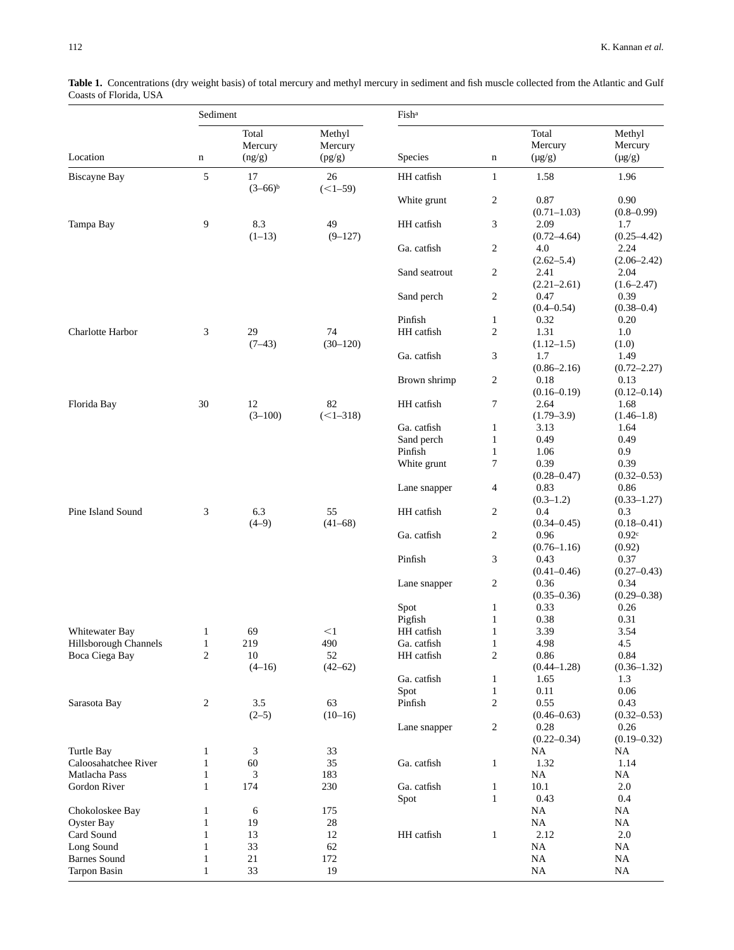| Sediment              |                |                            |                             | Fish <sup>a</sup> |                  |                                 |                                  |
|-----------------------|----------------|----------------------------|-----------------------------|-------------------|------------------|---------------------------------|----------------------------------|
| Location              | $\mathbf n$    | Total<br>Mercury<br>(ng/g) | Methyl<br>Mercury<br>(pg/g) | Species           | $\mathbf n$      | Total<br>Mercury<br>$(\mu g/g)$ | Methyl<br>Mercury<br>$(\mu g/g)$ |
| <b>Biscayne Bay</b>   | 5              | 17<br>$(3-66)^{b}$         | 26<br>$(<1-59)$             | HH catfish        | $\mathbf{1}$     | 1.58                            | 1.96                             |
|                       |                |                            |                             | White grunt       | $\overline{c}$   | 0.87<br>$(0.71 - 1.03)$         | 0.90<br>$(0.8 - 0.99)$           |
| Tampa Bay             | 9              | 8.3<br>$(1-13)$            | 49<br>$(9 - 127)$           | HH catfish        | 3                | 2.09<br>$(0.72 - 4.64)$         | 1.7<br>$(0.25 - 4.42)$           |
|                       |                |                            |                             | Ga. catfish       | $\overline{c}$   | 4.0<br>$(2.62 - 5.4)$           | 2.24<br>$(2.06 - 2.42)$          |
|                       |                |                            |                             | Sand seatrout     | $\overline{c}$   | 2.41<br>$(2.21 - 2.61)$         | 2.04<br>$(1.6 - 2.47)$           |
|                       |                |                            |                             | Sand perch        | $\boldsymbol{2}$ | 0.47<br>$(0.4 - 0.54)$          | 0.39<br>$(0.38 - 0.4)$           |
|                       |                |                            |                             | Pinfish           | $\mathbf{1}$     | 0.32                            | 0.20                             |
| Charlotte Harbor      | 3              | 29                         | 74                          | HH catfish        | $\overline{c}$   | 1.31                            | 1.0                              |
|                       |                | $(7-43)$                   | $(30-120)$                  |                   |                  | $(1.12 - 1.5)$                  | (1.0)                            |
|                       |                |                            |                             | Ga. catfish       | 3                | 1.7<br>$(0.86 - 2.16)$          | 1.49<br>$(0.72 - 2.27)$          |
|                       |                |                            |                             | Brown shrimp      | $\boldsymbol{2}$ | 0.18<br>$(0.16 - 0.19)$         | 0.13<br>$(0.12 - 0.14)$          |
| Florida Bay           | 30             | 12<br>$(3-100)$            | 82<br>$(<1-318)$            | HH catfish        | 7                | 2.64<br>$(1.79 - 3.9)$          | 1.68<br>$(1.46-1.8)$             |
|                       |                |                            |                             | Ga. catfish       | $\mathbf{1}$     | 3.13                            | 1.64                             |
|                       |                |                            |                             | Sand perch        | $\mathbf{1}$     | 0.49                            | 0.49                             |
|                       |                |                            |                             | Pinfish           | $\mathbf{1}$     | 1.06                            | 0.9                              |
|                       |                |                            |                             | White grunt       | 7                | 0.39<br>$(0.28 - 0.47)$         | 0.39<br>$(0.32 - 0.53)$          |
|                       |                |                            |                             | Lane snapper      | 4                | 0.83<br>$(0.3-1.2)$             | 0.86<br>$(0.33 - 1.27)$          |
| Pine Island Sound     | 3              | 6.3<br>$(4-9)$             | 55<br>$(41-68)$             | HH catfish        | $\overline{c}$   | 0.4<br>$(0.34 - 0.45)$          | 0.3<br>$(0.18 - 0.41)$           |
|                       |                |                            |                             | Ga. catfish       | $\overline{c}$   | 0.96<br>$(0.76 - 1.16)$         | 0.92c<br>(0.92)                  |
|                       |                |                            |                             | Pinfish           | 3                | 0.43<br>$(0.41 - 0.46)$         | 0.37<br>$(0.27 - 0.43)$          |
|                       |                |                            |                             | Lane snapper      | $\boldsymbol{2}$ | 0.36<br>$(0.35 - 0.36)$         | 0.34<br>$(0.29 - 0.38)$          |
|                       |                |                            |                             | Spot              | $\mathbf{1}$     | 0.33                            | 0.26                             |
|                       |                |                            |                             | Pigfish           | $\mathbf{1}$     | 0.38                            | 0.31                             |
| Whitewater Bay        | $\mathbf{1}$   | 69                         | $<$ 1                       | HH catfish        | $\mathbf{1}$     | 3.39                            | 3.54                             |
| Hillsborough Channels | $\mathbf{1}$   | 219                        | 490                         | Ga. catfish       | 1                | 4.98                            | 4.5                              |
| Boca Ciega Bay        | $\overline{c}$ | 10                         | 52                          | HH catfish        | $\overline{c}$   | $0.86\,$                        | 0.84                             |
|                       |                | $(4-16)$                   | $(42 - 62)$                 |                   |                  | $(0.44 - 1.28)$                 | $(0.36 - 1.32)$                  |
|                       |                |                            |                             | Ga. catfish       | $\mathbf{1}$     | 1.65                            | 1.3                              |
|                       |                |                            |                             | Spot              | $\mathbf{1}$     | 0.11                            | 0.06                             |
| Sarasota Bay          | 2              | 3.5                        | 63                          | Pinfish           | $\overline{c}$   | 0.55                            | 0.43                             |
|                       |                | $(2-5)$                    | $(10-16)$                   |                   |                  | $(0.46 - 0.63)$                 | $(0.32 - 0.53)$                  |
|                       |                |                            |                             | Lane snapper      | 2                | 0.28<br>$(0.22 - 0.34)$         | 0.26<br>$(0.19 - 0.32)$          |
| Turtle Bay            | 1              | 3                          | 33                          |                   |                  | <b>NA</b>                       | <b>NA</b>                        |
| Caloosahatchee River  | $\mathbf{1}$   |                            | 35                          | Ga. catfish       | $\mathbf{1}$     | 1.32                            | 1.14                             |
|                       |                | 60                         |                             |                   |                  |                                 |                                  |
| Matlacha Pass         | $\mathbf{1}$   | 3                          | 183                         |                   |                  | <b>NA</b>                       | <b>NA</b>                        |
| Gordon River          | $\mathbf{1}$   | 174                        | 230                         | Ga. catfish       | $\mathbf{1}$     | 10.1                            | $2.0\,$                          |
|                       |                |                            |                             | Spot              | $\mathbf{1}$     | 0.43                            | 0.4                              |
| Chokoloskee Bay       | 1              | 6                          | 175                         |                   |                  | NA                              | <b>NA</b>                        |
| <b>Oyster Bay</b>     | 1              | 19                         | 28                          |                   |                  | <b>NA</b>                       | NA                               |
| Card Sound            | $\mathbf{1}$   | 13                         | 12                          | HH catfish        | $\mathbf{1}$     | 2.12                            | 2.0                              |
| Long Sound            | $\mathbf{1}$   | 33                         | 62                          |                   |                  | <b>NA</b>                       | <b>NA</b>                        |
| <b>Barnes Sound</b>   | 1              | 21                         | 172                         |                   |                  | <b>NA</b>                       | NA                               |
| <b>Tarpon Basin</b>   | 1              | 33                         | 19                          |                   |                  | <b>NA</b>                       | NA                               |

Table 1. Concentrations (dry weight basis) of total mercury and methyl mercury in sediment and fish muscle collected from the Atlantic and Gulf Coasts of Florida, USA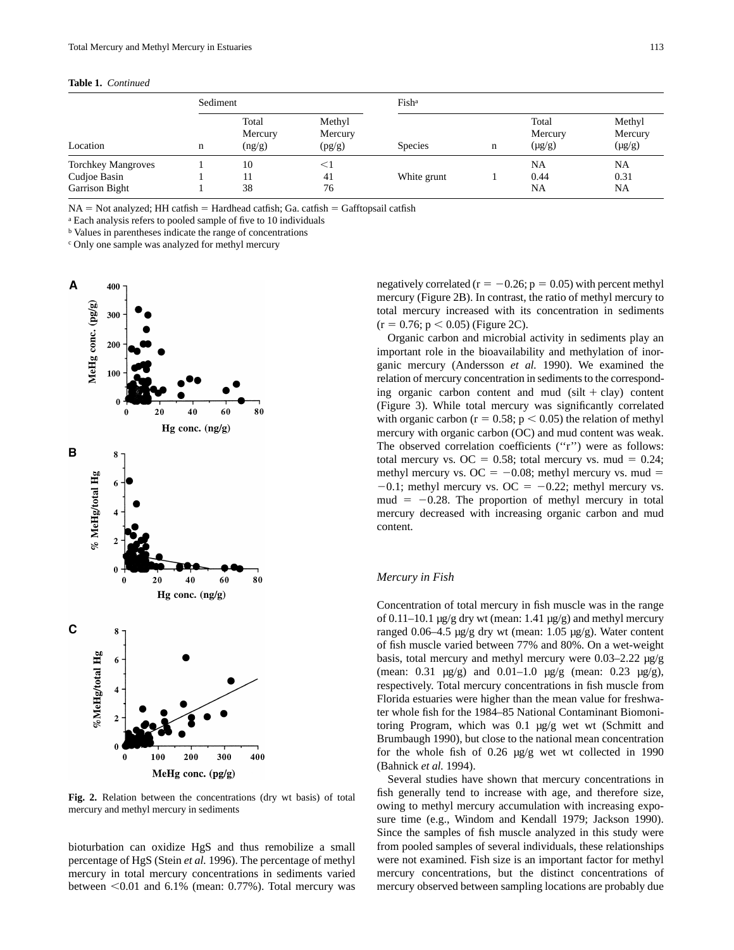#### **Table 1.** *Continued*

|                                                             | Sediment |                            |                             | Fish <sup>a</sup> |   |                                 |                                  |
|-------------------------------------------------------------|----------|----------------------------|-----------------------------|-------------------|---|---------------------------------|----------------------------------|
| Location                                                    | n        | Total<br>Mercury<br>(ng/g) | Methyl<br>Mercury<br>(pg/g) | <b>Species</b>    | n | Total<br>Mercury<br>$(\mu g/g)$ | Methyl<br>Mercury<br>$(\mu g/g)$ |
| <b>Torchkey Mangroves</b><br>Cudjoe Basin<br>Garrison Bight |          | 10<br>11<br>38             | $\leq$ 1<br>41<br>76        | White grunt       |   | NA<br>0.44<br>NA                | NA<br>0.31<br>NA                 |

 $NA = Not analyzed; HH catfish = Hardhead catfish; Ga. catfish = Gafftopsail catfish$ 

<sup>a</sup> Each analysis refers to pooled sample of five to 10 individuals

<sup>b</sup> Values in parentheses indicate the range of concentrations

<sup>c</sup> Only one sample was analyzed for methyl mercury



**Fig. 2.** Relation between the concentrations (dry wt basis) of total mercury and methyl mercury in sediments

bioturbation can oxidize HgS and thus remobilize a small percentage of HgS (Stein *et al.* 1996). The percentage of methyl mercury in total mercury concentrations in sediments varied between  $\leq 0.01$  and 6.1% (mean: 0.77%). Total mercury was negatively correlated ( $r = -0.26$ ;  $p = 0.05$ ) with percent methyl mercury (Figure 2B). In contrast, the ratio of methyl mercury to total mercury increased with its concentration in sediments  $(r = 0.76; p < 0.05)$  (Figure 2C).

Organic carbon and microbial activity in sediments play an important role in the bioavailability and methylation of inorganic mercury (Andersson *et al.* 1990). We examined the relation of mercury concentration in sediments to the corresponding organic carbon content and mud (silt  $+$  clay) content (Figure 3). While total mercury was significantly correlated with organic carbon ( $r = 0.58$ ;  $p < 0.05$ ) the relation of methyl mercury with organic carbon (OC) and mud content was weak. The observed correlation coefficients (''r'') were as follows: total mercury vs. OC = 0.58; total mercury vs. mud = 0.24; methyl mercury vs. OC =  $-0.08$ ; methyl mercury vs. mud =  $-0.1$ ; methyl mercury vs. OC =  $-0.22$ ; methyl mercury vs. mud  $= -0.28$ . The proportion of methyl mercury in total mercury decreased with increasing organic carbon and mud content.

# *Mercury in Fish*

Concentration of total mercury in fish muscle was in the range of  $0.11-10.1$  µg/g dry wt (mean:  $1.41$  µg/g) and methyl mercury ranged 0.06–4.5 µg/g dry wt (mean: 1.05 µg/g). Water content of fish muscle varied between 77% and 80%. On a wet-weight basis, total mercury and methyl mercury were 0.03–2.22 µg/g (mean:  $0.31 \text{ µg/g}$ ) and  $0.01-1.0 \text{ µg/g}$  (mean:  $0.23 \text{ µg/g}$ ), respectively. Total mercury concentrations in fish muscle from Florida estuaries were higher than the mean value for freshwater whole fish for the 1984–85 National Contaminant Biomonitoring Program, which was 0.1 µg/g wet wt (Schmitt and Brumbaugh 1990), but close to the national mean concentration for the whole fish of 0.26 µg/g wet wt collected in 1990 (Bahnick *et al.* 1994).

Several studies have shown that mercury concentrations in fish generally tend to increase with age, and therefore size, owing to methyl mercury accumulation with increasing exposure time (e.g., Windom and Kendall 1979; Jackson 1990). Since the samples of fish muscle analyzed in this study were from pooled samples of several individuals, these relationships were not examined. Fish size is an important factor for methyl mercury concentrations, but the distinct concentrations of mercury observed between sampling locations are probably due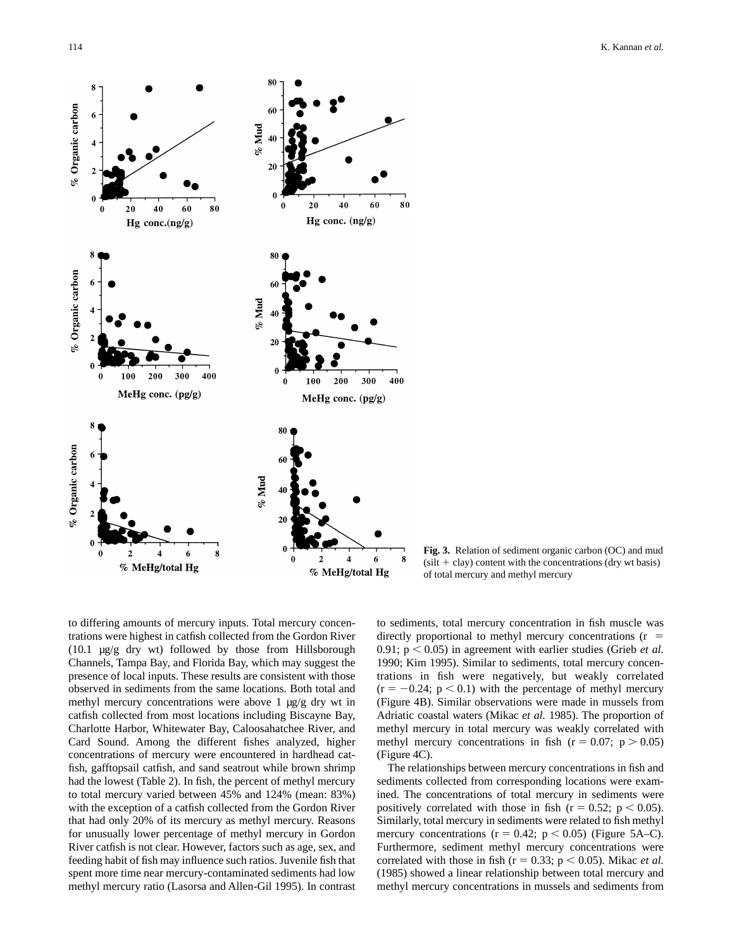

**Fig. 3.** Relation of sediment organic carbon (OC) and mud  $(silt + clay)$  content with the concentrations (dry wt basis) of total mercury and methyl mercury

to differing amounts of mercury inputs. Total mercury concentrations were highest in catfish collected from the Gordon River (10.1 µg/g dry wt) followed by those from Hillsborough Channels, Tampa Bay, and Florida Bay, which may suggest the presence of local inputs. These results are consistent with those observed in sediments from the same locations. Both total and methyl mercury concentrations were above 1  $\mu$ g/g dry wt in catfish collected from most locations including Biscayne Bay, Charlotte Harbor, Whitewater Bay, Caloosahatchee River, and Card Sound. Among the different fishes analyzed, higher concentrations of mercury were encountered in hardhead catfish, gafftopsail catfish, and sand seatrout while brown shrimp had the lowest (Table 2). In fish, the percent of methyl mercury to total mercury varied between 45% and 124% (mean: 83%) with the exception of a catfish collected from the Gordon River that had only 20% of its mercury as methyl mercury. Reasons for unusually lower percentage of methyl mercury in Gordon River catfish is not clear. However, factors such as age, sex, and feeding habit of fish may influence such ratios. Juvenile fish that spent more time near mercury-contaminated sediments had low methyl mercury ratio (Lasorsa and Allen-Gil 1995). In contrast to sediments, total mercury concentration in fish muscle was directly proportional to methyl mercury concentrations  $(r =$ 0.91;  $p < 0.05$ ) in agreement with earlier studies (Grieb *et al.* 1990; Kim 1995). Similar to sediments, total mercury concentrations in fish were negatively, but weakly correlated  $(r = -0.24; p < 0.1)$  with the percentage of methyl mercury (Figure 4B). Similar observations were made in mussels from Adriatic coastal waters (Mikac *et al.* 1985). The proportion of methyl mercury in total mercury was weakly correlated with methyl mercury concentrations in fish ( $r = 0.07$ ;  $p > 0.05$ ) (Figure 4C).

The relationships between mercury concentrations in fish and sediments collected from corresponding locations were examined. The concentrations of total mercury in sediments were positively correlated with those in fish ( $r = 0.52$ ;  $p < 0.05$ ). Similarly, total mercury in sediments were related to fish methyl mercury concentrations ( $r = 0.42$ ;  $p < 0.05$ ) (Figure 5A–C). Furthermore, sediment methyl mercury concentrations were correlated with those in fish ( $r = 0.33$ ;  $p < 0.05$ ). Mikac *et al.* (1985) showed a linear relationship between total mercury and methyl mercury concentrations in mussels and sediments from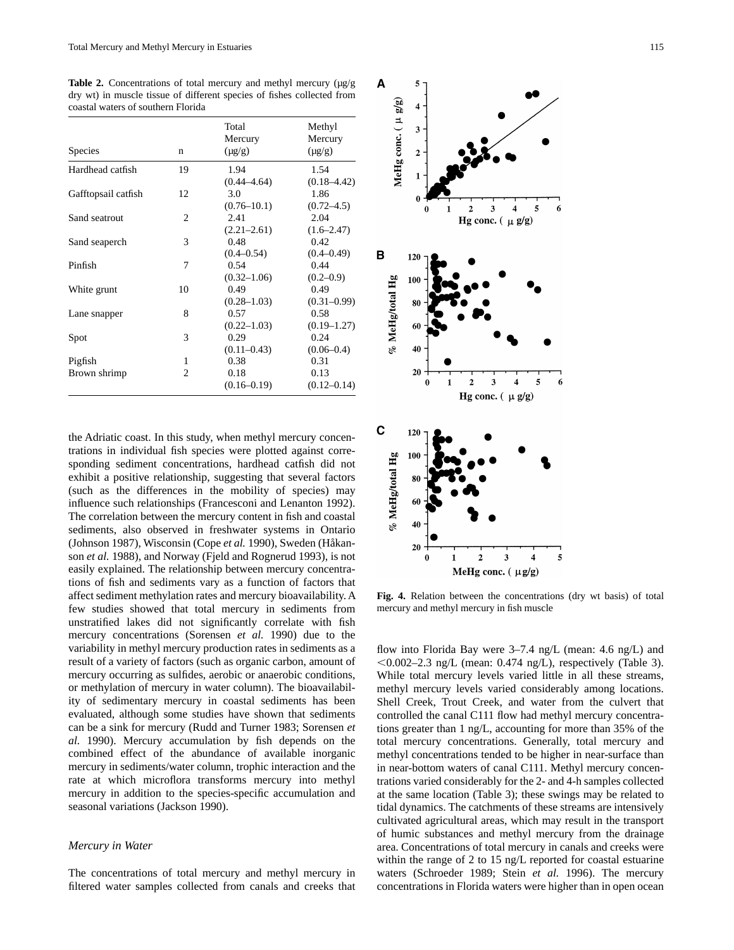**Table 2.** Concentrations of total mercury and methyl mercury  $(\mu g/g)$ dry wt) in muscle tissue of different species of fishes collected from coastal waters of southern Florida

| Species             | n              | Total<br>Mercury<br>$(\mu g/g)$ | Methyl<br>Mercury<br>$(\mu g/g)$ |
|---------------------|----------------|---------------------------------|----------------------------------|
| Hardhead catfish    | 19             | 1.94                            | 1.54                             |
|                     |                | $(0.44 - 4.64)$                 | $(0.18 - 4.42)$                  |
| Gafftopsail catfish | 12             | 3.0                             | 1.86                             |
|                     |                | $(0.76 - 10.1)$                 | $(0.72 - 4.5)$                   |
| Sand seatrout       | $\overline{c}$ | 2.41                            | 2.04                             |
|                     |                | $(2.21 - 2.61)$                 | $(1.6 - 2.47)$                   |
| Sand seaperch       | 3              | 0.48                            | 0.42                             |
|                     |                | $(0.4 - 0.54)$                  | $(0.4 - 0.49)$                   |
| Pinfish             | 7              | 0.54                            | 0.44                             |
|                     |                | $(0.32 - 1.06)$                 | $(0.2 - 0.9)$                    |
| White grunt         | 10             | 0.49                            | 0.49                             |
|                     |                | $(0.28 - 1.03)$                 | $(0.31 - 0.99)$                  |
| Lane snapper        | 8              | 0.57                            | 0.58                             |
|                     |                | $(0.22 - 1.03)$                 | $(0.19 - 1.27)$                  |
| Spot                | 3              | 0.29                            | 0.24                             |
|                     |                | $(0.11 - 0.43)$                 | $(0.06 - 0.4)$                   |
| Pigfish             | 1              | 0.38                            | 0.31                             |
| Brown shrimp        | $\overline{c}$ | 0.18                            | 0.13                             |
|                     |                | $(0.16 - 0.19)$                 | $(0.12 - 0.14)$                  |

the Adriatic coast. In this study, when methyl mercury concentrations in individual fish species were plotted against corresponding sediment concentrations, hardhead catfish did not exhibit a positive relationship, suggesting that several factors (such as the differences in the mobility of species) may influence such relationships (Francesconi and Lenanton 1992). The correlation between the mercury content in fish and coastal sediments, also observed in freshwater systems in Ontario (Johnson 1987), Wisconsin (Cope *et al.* 1990), Sweden (Håkanson *et al.* 1988), and Norway (Fjeld and Rognerud 1993), is not easily explained. The relationship between mercury concentrations of fish and sediments vary as a function of factors that affect sediment methylation rates and mercury bioavailability. A few studies showed that total mercury in sediments from unstratified lakes did not significantly correlate with fish mercury concentrations (Sorensen *et al.* 1990) due to the variability in methyl mercury production rates in sediments as a result of a variety of factors (such as organic carbon, amount of mercury occurring as sulfides, aerobic or anaerobic conditions, or methylation of mercury in water column). The bioavailability of sedimentary mercury in coastal sediments has been evaluated, although some studies have shown that sediments can be a sink for mercury (Rudd and Turner 1983; Sorensen *et al.* 1990). Mercury accumulation by fish depends on the combined effect of the abundance of available inorganic mercury in sediments/water column, trophic interaction and the rate at which microflora transforms mercury into methyl mercury in addition to the species-specific accumulation and seasonal variations (Jackson 1990).

## *Mercury in Water*

The concentrations of total mercury and methyl mercury in filtered water samples collected from canals and creeks that



**Fig. 4.** Relation between the concentrations (dry wt basis) of total mercury and methyl mercury in fish muscle

flow into Florida Bay were 3–7.4 ng/L (mean: 4.6 ng/L) and  $< 0.002 - 2.3$  ng/L (mean: 0.474 ng/L), respectively (Table 3). While total mercury levels varied little in all these streams, methyl mercury levels varied considerably among locations. Shell Creek, Trout Creek, and water from the culvert that controlled the canal C111 flow had methyl mercury concentrations greater than 1 ng/L, accounting for more than 35% of the total mercury concentrations. Generally, total mercury and methyl concentrations tended to be higher in near-surface than in near-bottom waters of canal C111. Methyl mercury concentrations varied considerably for the 2- and 4-h samples collected at the same location (Table 3); these swings may be related to tidal dynamics. The catchments of these streams are intensively cultivated agricultural areas, which may result in the transport of humic substances and methyl mercury from the drainage area. Concentrations of total mercury in canals and creeks were within the range of 2 to 15 ng/L reported for coastal estuarine waters (Schroeder 1989; Stein *et al.* 1996). The mercury concentrations in Florida waters were higher than in open ocean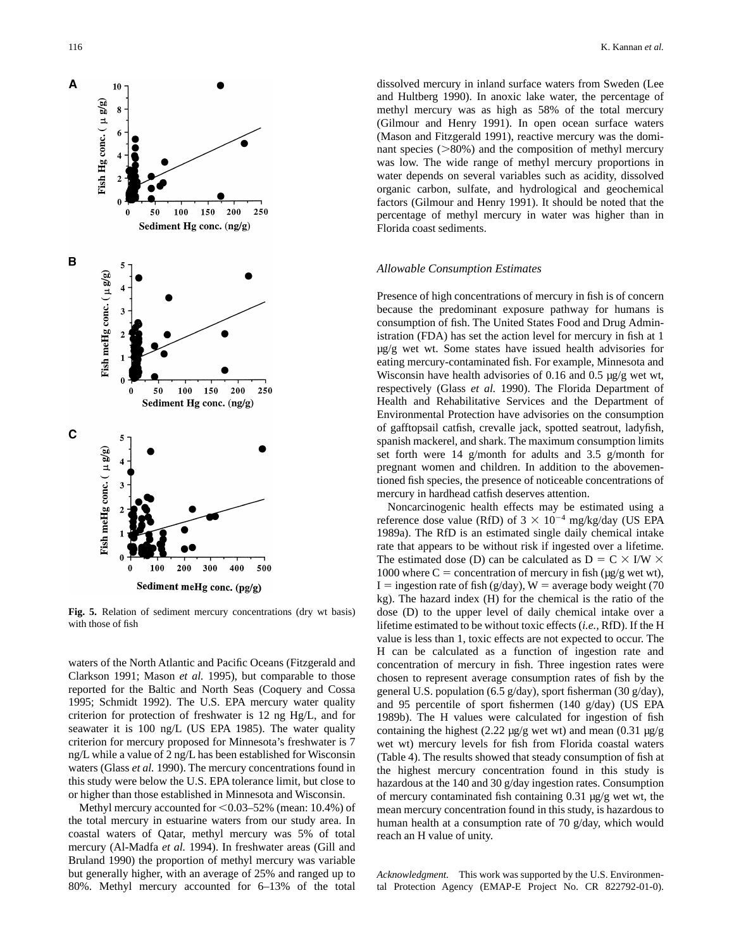

**Fig. 5.** Relation of sediment mercury concentrations (dry wt basis) with those of fish

waters of the North Atlantic and Pacific Oceans (Fitzgerald and Clarkson 1991; Mason *et al.* 1995), but comparable to those reported for the Baltic and North Seas (Coquery and Cossa 1995; Schmidt 1992). The U.S. EPA mercury water quality criterion for protection of freshwater is 12 ng Hg/L, and for seawater it is 100 ng/L (US EPA 1985). The water quality criterion for mercury proposed for Minnesota's freshwater is 7 ng/L while a value of 2 ng/L has been established for Wisconsin waters (Glass *et al.* 1990). The mercury concentrations found in this study were below the U.S. EPA tolerance limit, but close to or higher than those established in Minnesota and Wisconsin.

Methyl mercury accounted for  $< 0.03 - 52$ % (mean: 10.4%) of the total mercury in estuarine waters from our study area. In coastal waters of Qatar, methyl mercury was 5% of total mercury (Al-Madfa *et al.* 1994). In freshwater areas (Gill and Bruland 1990) the proportion of methyl mercury was variable but generally higher, with an average of 25% and ranged up to 80%. Methyl mercury accounted for 6–13% of the total dissolved mercury in inland surface waters from Sweden (Lee and Hultberg 1990). In anoxic lake water, the percentage of methyl mercury was as high as 58% of the total mercury (Gilmour and Henry 1991). In open ocean surface waters (Mason and Fitzgerald 1991), reactive mercury was the dominant species  $(>\!\!80\%)$  and the composition of methyl mercury was low. The wide range of methyl mercury proportions in water depends on several variables such as acidity, dissolved organic carbon, sulfate, and hydrological and geochemical factors (Gilmour and Henry 1991). It should be noted that the percentage of methyl mercury in water was higher than in Florida coast sediments.

## *Allowable Consumption Estimates*

Presence of high concentrations of mercury in fish is of concern because the predominant exposure pathway for humans is consumption of fish. The United States Food and Drug Administration (FDA) has set the action level for mercury in fish at 1 µg/g wet wt. Some states have issued health advisories for eating mercury-contaminated fish. For example, Minnesota and Wisconsin have health advisories of 0.16 and 0.5 µg/g wet wt, respectively (Glass *et al.* 1990). The Florida Department of Health and Rehabilitative Services and the Department of Environmental Protection have advisories on the consumption of gafftopsail catfish, crevalle jack, spotted seatrout, ladyfish, spanish mackerel, and shark. The maximum consumption limits set forth were 14 g/month for adults and 3.5 g/month for pregnant women and children. In addition to the abovementioned fish species, the presence of noticeable concentrations of mercury in hardhead catfish deserves attention.

Noncarcinogenic health effects may be estimated using a reference dose value (RfD) of  $3 \times 10^{-4}$  mg/kg/day (US EPA 1989a). The RfD is an estimated single daily chemical intake rate that appears to be without risk if ingested over a lifetime. The estimated dose (D) can be calculated as  $D = C \times I/W \times$ 1000 where  $C =$  concentration of mercury in fish ( $\mu$ g/g wet wt), I = ingestion rate of fish (g/day), W = average body weight (70 kg). The hazard index (H) for the chemical is the ratio of the dose (D) to the upper level of daily chemical intake over a lifetime estimated to be without toxic effects (*i.e.,* RfD). If the H value is less than 1, toxic effects are not expected to occur. The H can be calculated as a function of ingestion rate and concentration of mercury in fish. Three ingestion rates were chosen to represent average consumption rates of fish by the general U.S. population (6.5 g/day), sport fisherman (30 g/day), and 95 percentile of sport fishermen (140 g/day) (US EPA 1989b). The H values were calculated for ingestion of fish containing the highest (2.22  $\mu$ g/g wet wt) and mean (0.31  $\mu$ g/g wet wt) mercury levels for fish from Florida coastal waters (Table 4). The results showed that steady consumption of fish at the highest mercury concentration found in this study is hazardous at the 140 and 30 g/day ingestion rates. Consumption of mercury contaminated fish containing 0.31 µg/g wet wt, the mean mercury concentration found in this study, is hazardous to human health at a consumption rate of 70 g/day, which would reach an H value of unity.

*Acknowledgment.* This work was supported by the U.S. Environmental Protection Agency (EMAP-E Project No. CR 822792-01-0).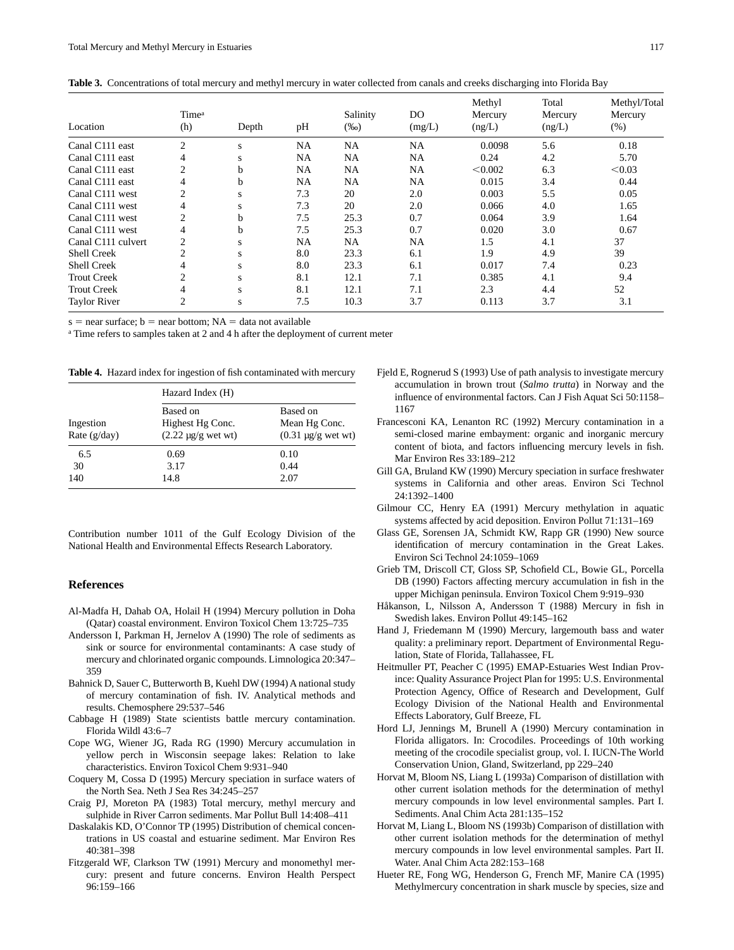| Table 3. Concentrations of total mercury and methyl mercury in water collected from canals and creeks discharging into Florida Bay |  |  |
|------------------------------------------------------------------------------------------------------------------------------------|--|--|
|                                                                                                                                    |  |  |

|                     |                          | Depth | pH        | Salinity<br>$(\%0)$ |                          | Methyl<br>Mercury<br>(ng/L) | Total<br>Mercury<br>(ng/L) | Methyl/Total<br>Mercury<br>(% ) |
|---------------------|--------------------------|-------|-----------|---------------------|--------------------------|-----------------------------|----------------------------|---------------------------------|
| Location            | Time <sup>a</sup><br>(h) |       |           |                     | D <sub>O</sub><br>(mg/L) |                             |                            |                                 |
| Canal C111 east     | $\overline{2}$           | S     | <b>NA</b> | NA                  | <b>NA</b>                | 0.0098                      | 5.6                        | 0.18                            |
| Canal C111 east     | 4                        | S     | NA        | NA                  | <b>NA</b>                | 0.24                        | 4.2                        | 5.70                            |
| Canal C111 east     | 2                        | b     | NA        | NA                  | NA                       | < 0.002                     | 6.3                        | < 0.03                          |
| Canal C111 east     | 4                        | h     | NA        | NA                  | NA                       | 0.015                       | 3.4                        | 0.44                            |
| Canal C111 west     | 2                        | s     | 7.3       | 20                  | 2.0                      | 0.003                       | 5.5                        | 0.05                            |
| Canal C111 west     | 4                        | s     | 7.3       | 20                  | 2.0                      | 0.066                       | 4.0                        | 1.65                            |
| Canal C111 west     | $\overline{2}$           | h     | 7.5       | 25.3                | 0.7                      | 0.064                       | 3.9                        | 1.64                            |
| Canal C111 west     | 4                        | h     | 7.5       | 25.3                | 0.7                      | 0.020                       | 3.0                        | 0.67                            |
| Canal C111 culvert  | $\overline{2}$           | S     | NA        | NA                  | NA                       | 1.5                         | 4.1                        | 37                              |
| <b>Shell Creek</b>  | $\overline{2}$           | S     | 8.0       | 23.3                | 6.1                      | 1.9                         | 4.9                        | 39                              |
| Shell Creek         | 4                        | S     | 8.0       | 23.3                | 6.1                      | 0.017                       | 7.4                        | 0.23                            |
| <b>Trout Creek</b>  | $\overline{c}$           | S     | 8.1       | 12.1                | 7.1                      | 0.385                       | 4.1                        | 9.4                             |
| <b>Trout Creek</b>  | 4                        | S     | 8.1       | 12.1                | 7.1                      | 2.3                         | 4.4                        | 52                              |
| <b>Taylor River</b> | 2                        | S     | 7.5       | 10.3                | 3.7                      | 0.113                       | 3.7                        | 3.1                             |

 $s =$  near surface;  $b =$  near bottom; NA = data not available

<sup>a</sup> Time refers to samples taken at 2 and 4 h after the deployment of current meter

**Table 4.** Hazard index for ingestion of fish contaminated with mercury

|                             | Hazard Index (H)                                        |                                                      |  |  |  |  |
|-----------------------------|---------------------------------------------------------|------------------------------------------------------|--|--|--|--|
| Ingestion<br>Rate $(g/day)$ | Based on<br>Highest Hg Conc.<br>$(2.22 \mu g/g$ wet wt) | Based on<br>Mean Hg Conc.<br>$(0.31 \mu g/g$ wet wt) |  |  |  |  |
| 6.5                         | 0.69                                                    | 0.10                                                 |  |  |  |  |
| 30                          | 3.17                                                    | 0.44                                                 |  |  |  |  |
| 140                         | 14.8                                                    | 2.07                                                 |  |  |  |  |

Contribution number 1011 of the Gulf Ecology Division of the National Health and Environmental Effects Research Laboratory.

#### **References**

- Al-Madfa H, Dahab OA, Holail H (1994) Mercury pollution in Doha (Qatar) coastal environment. Environ Toxicol Chem 13:725–735
- Andersson I, Parkman H, Jernelov A (1990) The role of sediments as sink or source for environmental contaminants: A case study of mercury and chlorinated organic compounds. Limnologica 20:347– 359
- Bahnick D, Sauer C, Butterworth B, Kuehl DW (1994) A national study of mercury contamination of fish. IV. Analytical methods and results. Chemosphere 29:537–546
- Cabbage H (1989) State scientists battle mercury contamination. Florida Wildl 43:6–7
- Cope WG, Wiener JG, Rada RG (1990) Mercury accumulation in yellow perch in Wisconsin seepage lakes: Relation to lake characteristics. Environ Toxicol Chem 9:931–940
- Coquery M, Cossa D (1995) Mercury speciation in surface waters of the North Sea. Neth J Sea Res 34:245–257
- Craig PJ, Moreton PA (1983) Total mercury, methyl mercury and sulphide in River Carron sediments. Mar Pollut Bull 14:408–411
- Daskalakis KD, O'Connor TP (1995) Distribution of chemical concentrations in US coastal and estuarine sediment. Mar Environ Res 40:381–398
- Fitzgerald WF, Clarkson TW (1991) Mercury and monomethyl mercury: present and future concerns. Environ Health Perspect 96:159–166
- Fjeld E, Rognerud S (1993) Use of path analysis to investigate mercury accumulation in brown trout (*Salmo trutta*) in Norway and the influence of environmental factors. Can J Fish Aquat Sci 50:1158– 1167
- Francesconi KA, Lenanton RC (1992) Mercury contamination in a semi-closed marine embayment: organic and inorganic mercury content of biota, and factors influencing mercury levels in fish. Mar Environ Res 33:189–212
- Gill GA, Bruland KW (1990) Mercury speciation in surface freshwater systems in California and other areas. Environ Sci Technol 24:1392–1400
- Gilmour CC, Henry EA (1991) Mercury methylation in aquatic systems affected by acid deposition. Environ Pollut 71:131–169
- Glass GE, Sorensen JA, Schmidt KW, Rapp GR (1990) New source identification of mercury contamination in the Great Lakes. Environ Sci Technol 24:1059–1069
- Grieb TM, Driscoll CT, Gloss SP, Schofield CL, Bowie GL, Porcella DB (1990) Factors affecting mercury accumulation in fish in the upper Michigan peninsula. Environ Toxicol Chem 9:919–930
- Håkanson, L, Nilsson A, Andersson T (1988) Mercury in fish in Swedish lakes. Environ Pollut 49:145–162
- Hand J, Friedemann M (1990) Mercury, largemouth bass and water quality: a preliminary report. Department of Environmental Regulation, State of Florida, Tallahassee, FL
- Heitmuller PT, Peacher C (1995) EMAP-Estuaries West Indian Province: Quality Assurance Project Plan for 1995: U.S. Environmental Protection Agency, Office of Research and Development, Gulf Ecology Division of the National Health and Environmental Effects Laboratory, Gulf Breeze, FL
- Hord LJ, Jennings M, Brunell A (1990) Mercury contamination in Florida alligators. In: Crocodiles. Proceedings of 10th working meeting of the crocodile specialist group, vol. I. IUCN-The World Conservation Union, Gland, Switzerland, pp 229–240
- Horvat M, Bloom NS, Liang L (1993a) Comparison of distillation with other current isolation methods for the determination of methyl mercury compounds in low level environmental samples. Part I. Sediments. Anal Chim Acta 281:135–152
- Horvat M, Liang L, Bloom NS (1993b) Comparison of distillation with other current isolation methods for the determination of methyl mercury compounds in low level environmental samples. Part II. Water. Anal Chim Acta 282:153–168
- Hueter RE, Fong WG, Henderson G, French MF, Manire CA (1995) Methylmercury concentration in shark muscle by species, size and